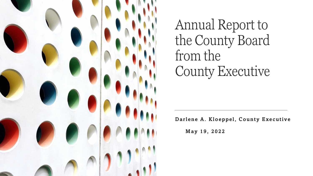

Annual Report to the County Board from the County Executive

Darlene A. Kloeppel, County Executive

May 19, 2022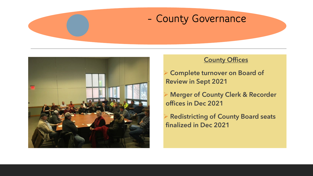



#### **County Offices**

 Complete turnover on Board of Review in Sept 2021

 Merger of County Clerk & Recorder offices in Dec 2021

 Redistricting of County Board seats finalized in Dec 2021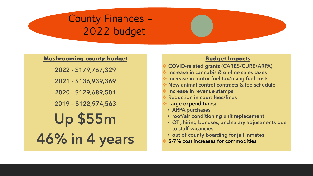## **County Finances – 2022 budget**

#### **Mushrooming county budget**

2022 - \$179,767,329

2021 - \$136,939,369

2020 - \$129,689,501

2019 – \$122,974,563

## Up \$55m 46% in 4 years

#### **Budget Impacts**

COVID-related grants (CARES/CURE/ARPA)

- $\cdot$  Increase in cannabis & on-line sales taxes
- $\cdot$  Increase in motor fuel tax/rising fuel costs
- New animal control contracts & fee schedule
- $\triangleq$  Increase in revenue stamps
- Reduction in court fees/fines
- Large expenditures:
	- ARPA purchases
	- roof/air conditioning unit replacement
	- OT , hiring bonuses, and salary adjustments due to staff vacancies
	- out of county boarding for jail inmates
- 5-7% cost increases for commodities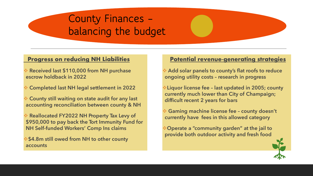## **County Finances – balancing the budget**

#### **Progress on reducing NH Liabilities**

- Received last \$110,000 from NH purchase escrow holdback in 2022
- Completed last NH legal settlement in 2022
- County still waiting on state audit for any last accounting reconciliation between county & NH
- Reallocated FY2022 NH Property Tax Levy of \$950,000 to pay back the Tort Immunity Fund for NH Self-funded Workers' Comp Ins claims

**\* \$4.8m still owed from NH to other county** accounts

#### **Potential revenue-generating strategies**

 Add solar panels to county's flat roofs to reduce ongoing utility costs – research in progress

Liquor license fee – last updated in 2005; county currently much lower than City of Champaign; difficult recent 2 years for bars

 Gaming machine license fee – county doesn't currently have fees in this allowed category

Operate a "community garden" at the jail to provide both outdoor activity and fresh food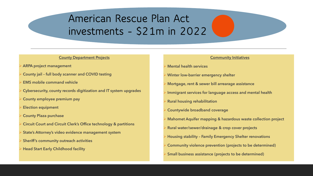## **American Rescue Plan Act investments - \$21m in 2022**

#### **County Department Projects**

- ARPA project management
- County jail full body scanner and COVID testing
- EMS mobile command vehicle
- Cybersecurity, county records digitization and IT system upgrades
- County employee premium pay
- Election equipment
- County Plaza purchase
- Circuit Court and Circuit Clerk's Office technology & partitions
- State's Attorney's video evidence management system
- Sheriff's community outreach activities
- Head Start Early Childhood facility

#### Community Initiatives

- Mental health services
- Winter low-barrier emergency shelter
- Mortgage, rent & sewer bill arrearage assistance
- Immigrant services for language access and mental health
- Rural housing rehabilitation
- Countywide broadband coverage
- Mahomet Aquifer mapping & hazardous waste collection project
- Rural water/sewer/drainage & crop cover projects
- Housing stability Family Emergency Shelter renovations
- Community violence prevention (projects to be determined)
- Small business assistance (projects to be determined)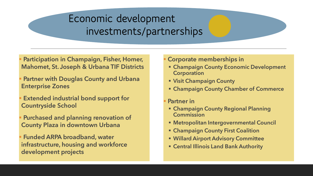## **Economic development investments/partnerships**

 Participation in Champaign, Fisher, Homer, Mahomet, St. Joseph & Urbana TIF Districts

- Partner with Douglas County and Urbana Enterprise Zones
- Extended industrial bond support for Countryside School
- Purchased and planning renovation of County Plaza in downtown Urbana

 Funded ARPA broadband, water infrastructure, housing and workforce development projects

#### Corporate memberships in

- **Exampaign County Economic Development Corporation**
- Visit Champaign County
- **Exampaign County Chamber of Commerce**
- Partner in
- Champaign County Regional Planning Commission
- Metropolitan Intergovernmental Council
- **Exampaign County First Coalition**
- Willard Airport Advisory Committee
- Central Illinois Land Bank Authority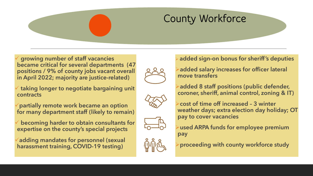## **County Workforce**

 growing number of staff vacancies became critical for several departments (47 positions / 9% of county jobs vacant overall in April 2022; majority are justice-related)

 taking longer to negotiate bargaining unit contracts

partially remote work became an option for many department staff (likely to remain)

 becoming harder to obtain consultants for expertise on the county's special projects

adding mandates for personnel (sexual harassment training, COVID-19 testing)



added sign-on bonus for sheriff's deputies

added salary increases for officer lateral move transfers

added 8 staff positions (public defender, coroner, sheriff, animal control, zoning & IT)



cost of time off increased – 3 winter weather days; extra election day holiday; OT pay to cover vacancies





used ARPA funds for employee premium pay

proceeding with county workforce study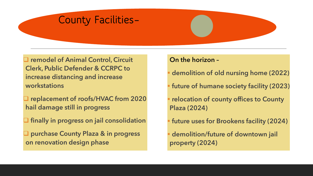### **County Facilities–**

**□ remodel of Animal Control, Circuit** Clerk, Public Defender & CCRPC to increase distancing and increase workstations

 replacement of roofs/HVAC from 2020 hail damage still in progress

 $\Box$  finally in progress on jail consolidation

**Q** purchase County Plaza & in progress on renovation design phase

#### On the horizon –

demolition of old nursing home (2022)

future of humane society facility (2023)

**relocation of county offices to County** Plaza (2024)

future uses for Brookens facility (2024)

 demolition/future of downtown jail property (2024)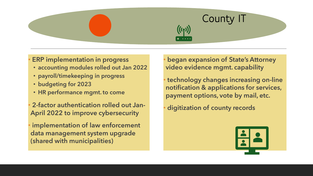# **County IT**

**ERP implementation in progress** 

- accounting modules rolled out Jan 2022
- payroll/timekeeping in progress
- budgeting for 2023
- HR performance mgmt. to come

• 2-factor authentication rolled out Jan-April 2022 to improve cybersecurity

implementation of law enforcement data management system upgrade (shared with municipalities)

began expansion of State's Attorney video evidence mgmt. capability

• technology changes increasing on-line notification & applications for services, payment options, vote by mail, etc.

• digitization of county records

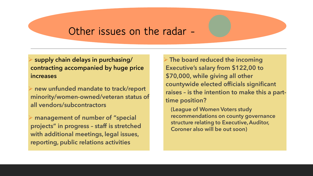## **Other issues on the radar -**

 supply chain delays in purchasing/ contracting accompanied by huge price increases

 new unfunded mandate to track/report minority/women-owned/veteran status of all vendors/subcontractors

 management of number of "special projects" in progress – staff is stretched with additional meetings, legal issues, reporting, public relations activities

 $\triangleright$  The board reduced the incoming Executive's salary from \$122,00 to \$70,000, while giving all other countywide elected officials significant raises – is the intention to make this a parttime position?

(League of Women Voters study recommendations on county governance structure relating to Executive, Auditor, Coroner also will be out soon)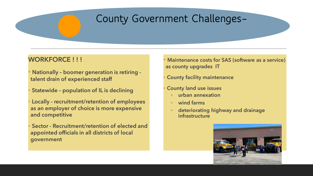## **County Government Challenges–**

#### WORKFORCE !!!

- Nationally boomer generation is retiring talent drain of experienced staff
- Statewide population of IL is declining
- Locally recruitment/retention of employees as an employer of choice is more expensive and competitive
- Sector Recruitment/retention of elected and appointed officials in all districts of local government
- Maintenance costs for SAS (software as a service) as county upgrades IT
- **County facility maintenance**
- County land use issues
	- urban annexation
	- wind farms
- deteriorating highway and drainage infrastructure

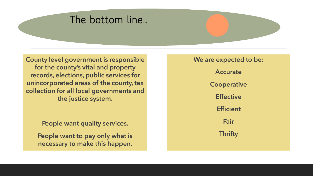## **The bottom line…**

County level government is responsible for the county's vital and property records, elections, public services for unincorporated areas of the county, tax collection for all local governments and the justice system.

People want quality services.

People want to pay only what is necessary to make this happen. We are expected to be: **Accurate Cooperative Effective Efficient Fair Thrifty**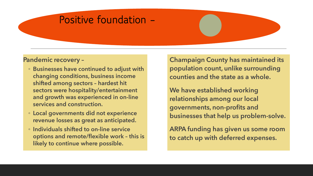## **Positive foundation –**

#### Pandemic recovery –

- Businesses have continued to adjust with changing conditions, business income shifted among sectors – hardest hit sectors were hospitality/entertainment and growth was experienced in on-line services and construction.
- Local governments did not experience revenue losses as great as anticipated.
- Individuals shifted to on-line service options and remote/flexible work – this is likely to continue where possible.

Champaign County has maintained its population count, unlike surrounding counties and the state as a whole.

We have established working relationships among our local governments, non-profits and businesses that help us problem-solve.

ARPA funding has given us some room to catch up with deferred expenses.